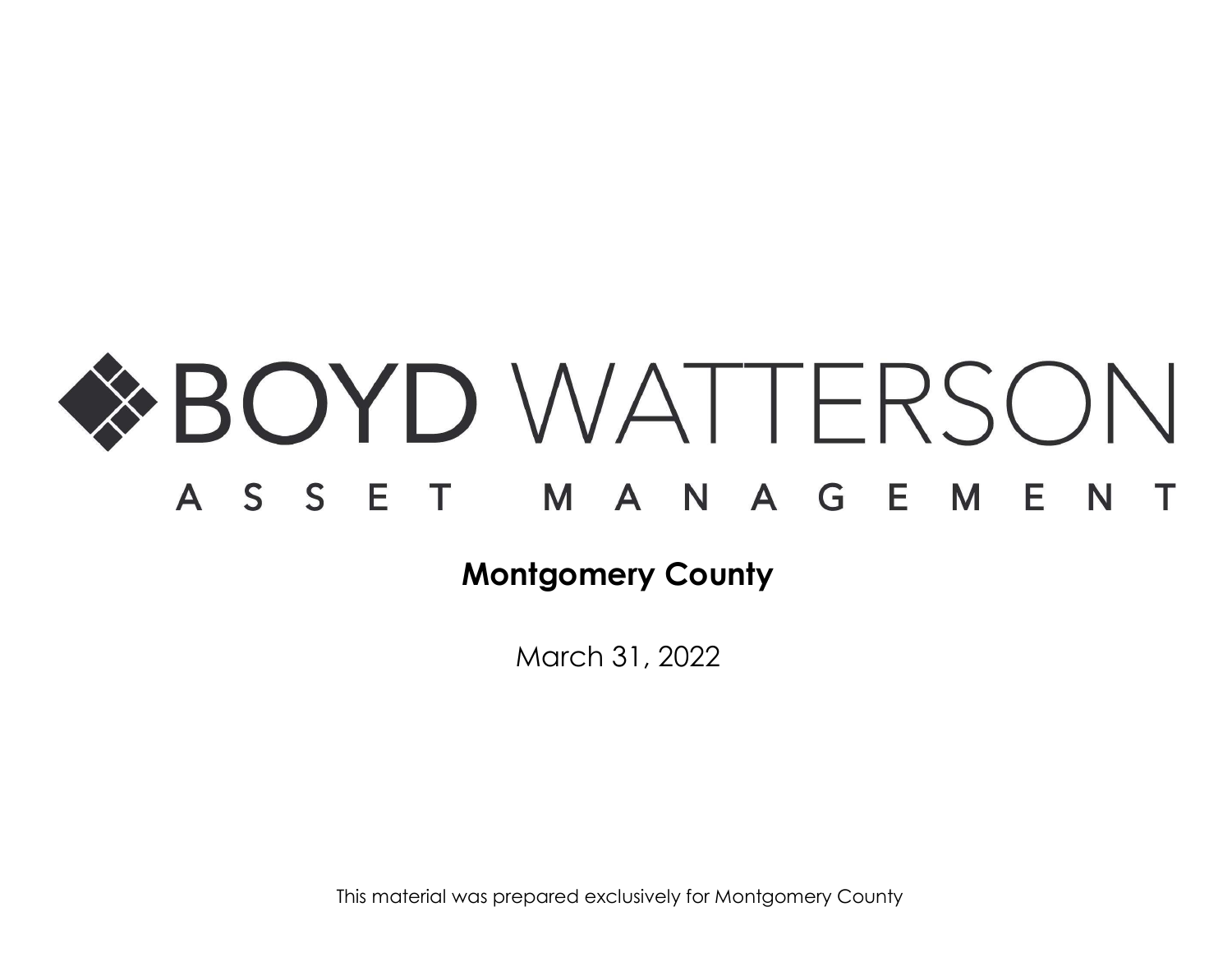

March 31, 2022

This material was prepared exclusively for Montgomery County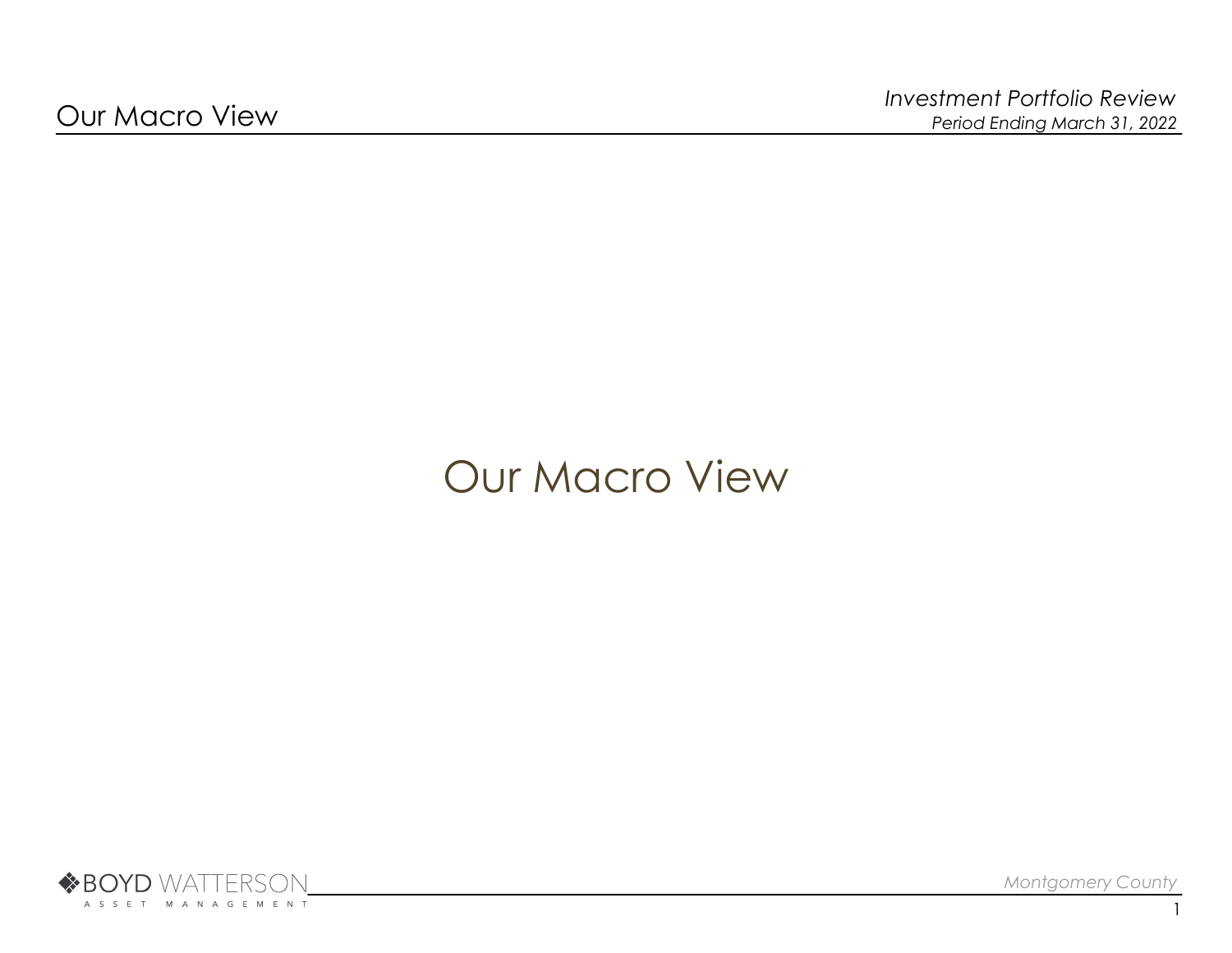# Our Macro View



Montgomery County

1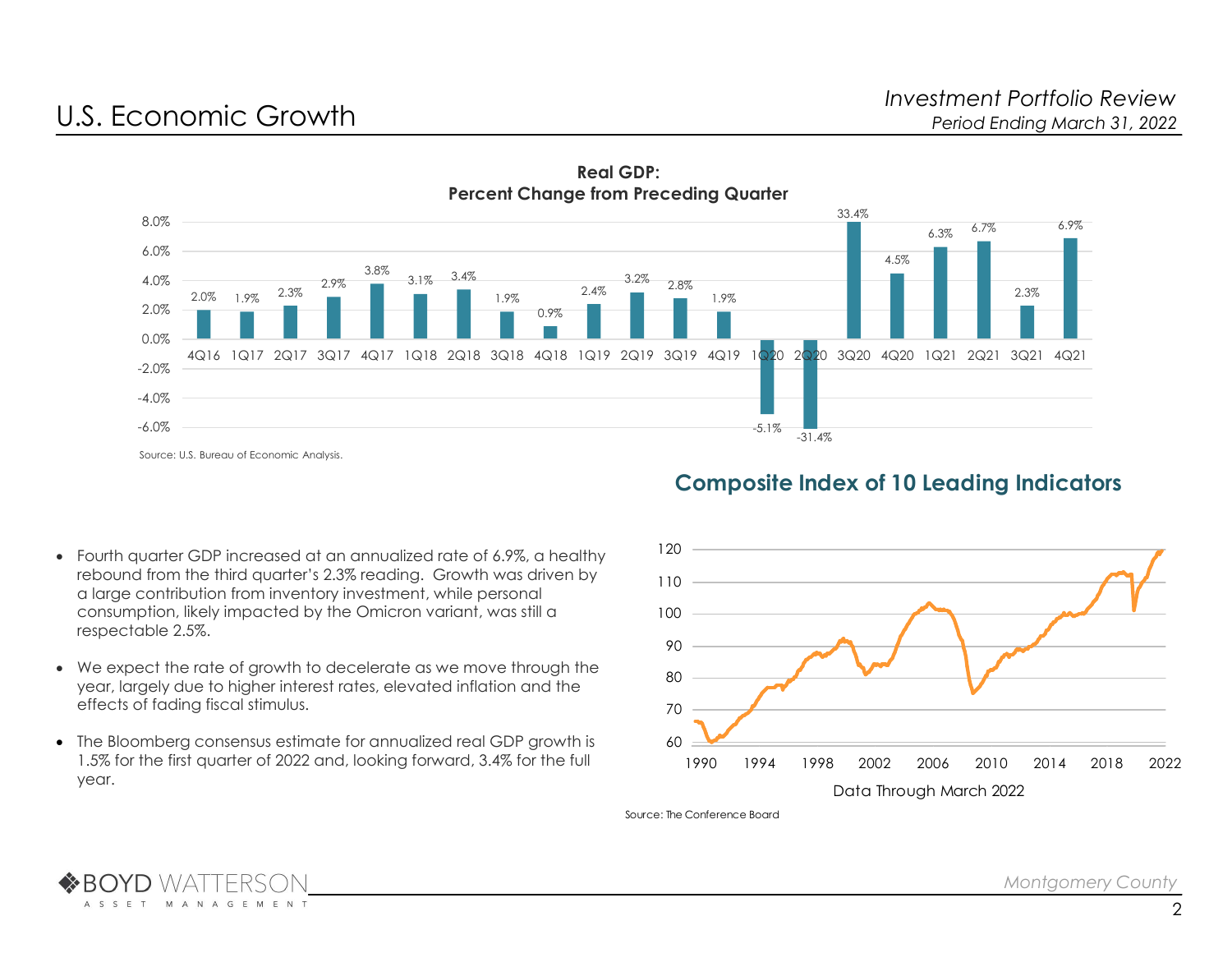



## Composite Index of 10 Leading Indicators

- Fourth quarter GDP increased at an annualized rate of 6.9%, a healthy rebound from the third quarter's 2.3% reading. Growth was driven by a large contribution from inventory investment, while personal consumption, likely impacted by the Omicron variant, was still a respectable 2.5%.
- We expect the rate of growth to decelerate as we move through the year, largely due to higher interest rates, elevated inflation and the effects of fading fiscal stimulus.
- The Bloomberg consensus estimate for annualized real GDP growth is 1.5% for the first quarter of 2022 and, looking forward, 3.4% for the full year.



Source: The Conference Board

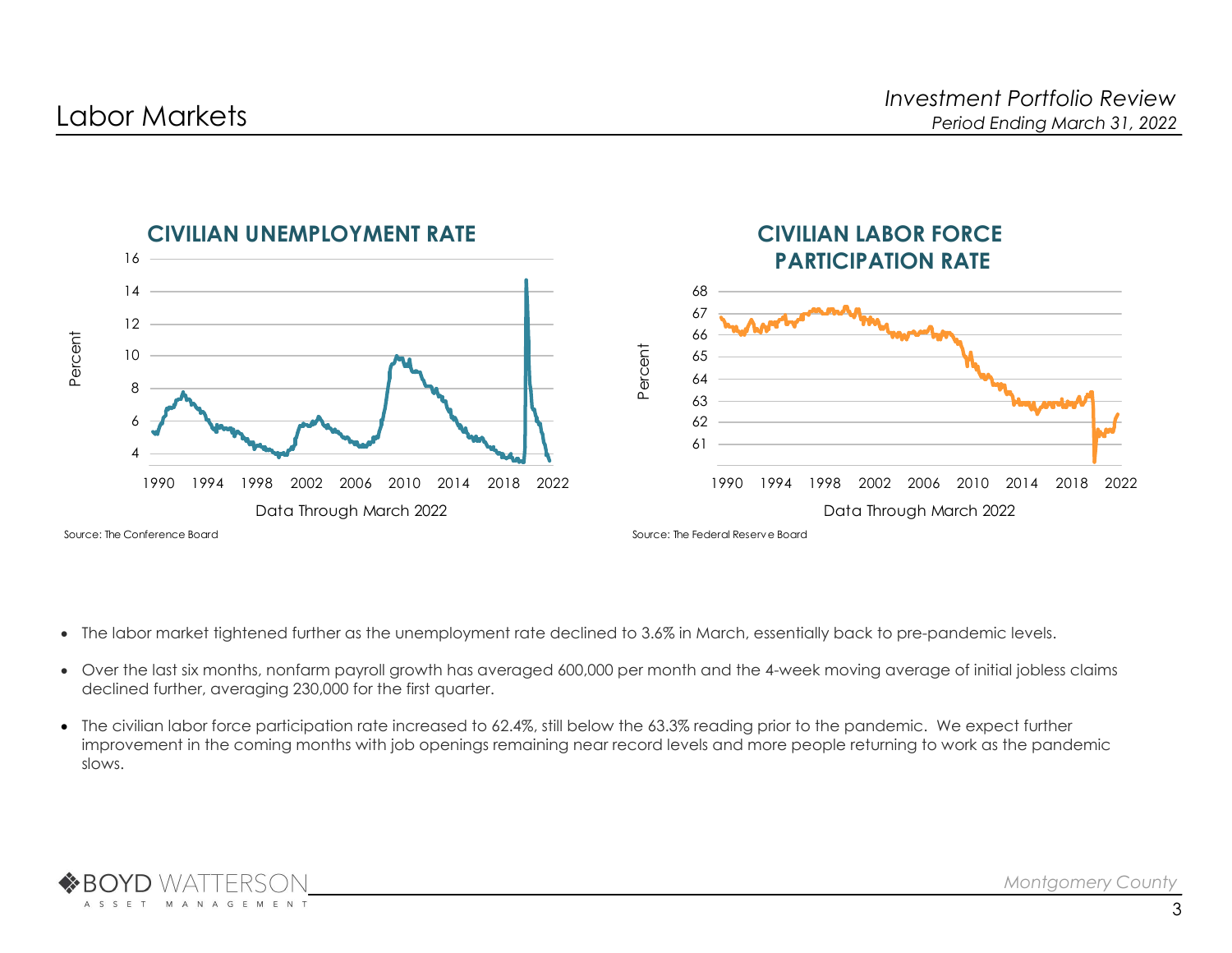

- The labor market tightened further as the unemployment rate declined to 3.6% in March, essentially back to pre-pandemic levels.
- Over the last six months, nonfarm payroll growth has averaged 600,000 per month and the 4-week moving average of initial jobless claims declined further, averaging 230,000 for the first quarter.
- The civilian labor force participation rate increased to 62.4%, still below the 63.3% reading prior to the pandemic. We expect further improvement in the coming months with job openings remaining near record levels and more people returning to work as the pandemic slows.

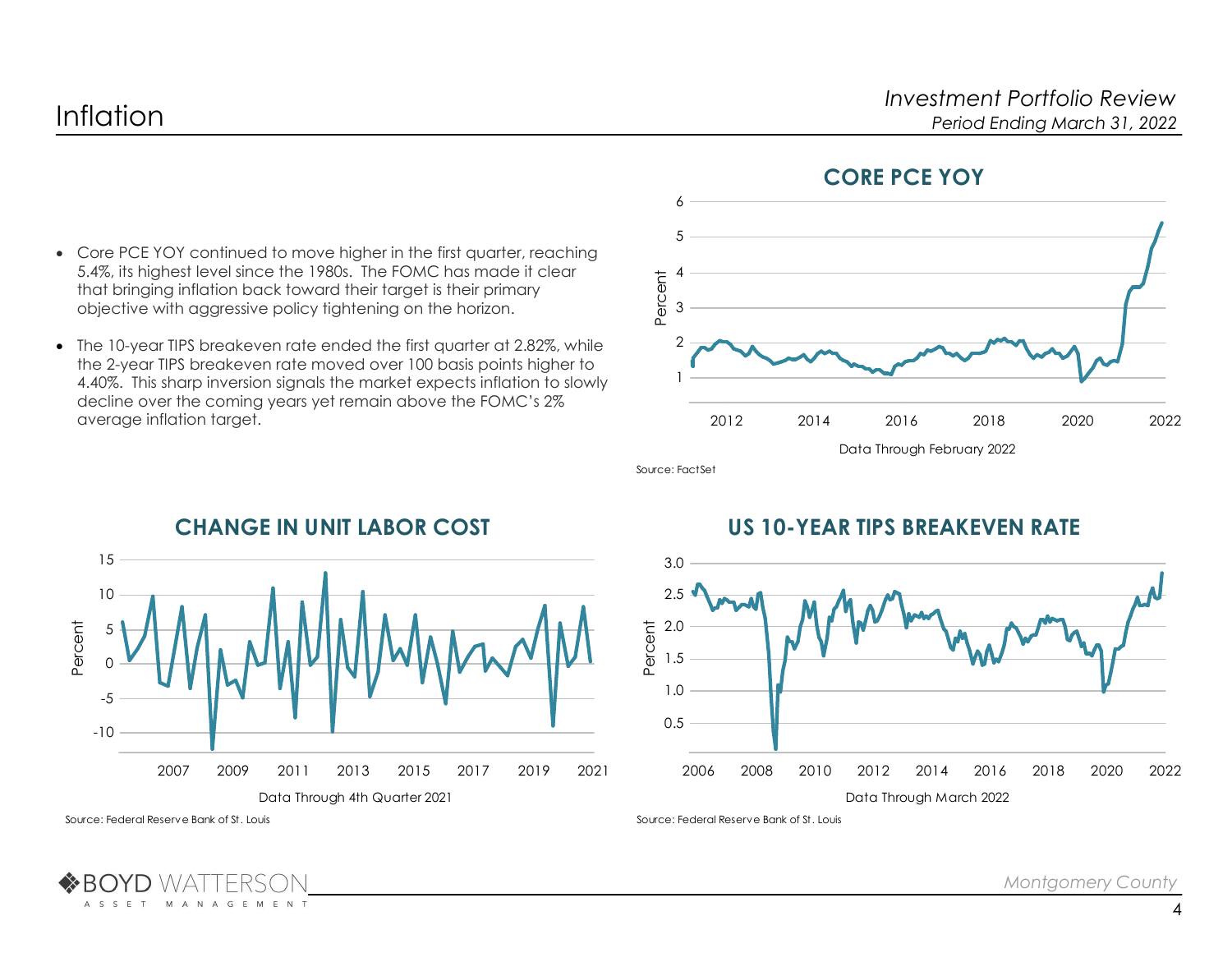

### CORE PCE YOY

- Core PCE YOY continued to move higher in the first quarter, reaching 5.4%, its highest level since the 1980s. The FOMC has made it clear that bringing inflation back toward their target is their primary objective with aggressive policy tightening on the horizon.
- The 10-year TIPS breakeven rate ended the first quarter at 2.82%, while the 2-year TIPS breakeven rate moved over 100 basis points higher to 4.40%. This sharp inversion signals the market expects inflation to slowly decline over the coming years yet remain above the FOMC's 2% average inflation target.

Source: FactSet



# CHANGE IN UNIT LABOR COST

# US 10-YEAR TIPS BREAKEVEN RATE



Source: Federal Reserve Bank of St. Louis

M

A N A G E M E N T

A S S E T

Source: Federal Reserve Bank of St. Louis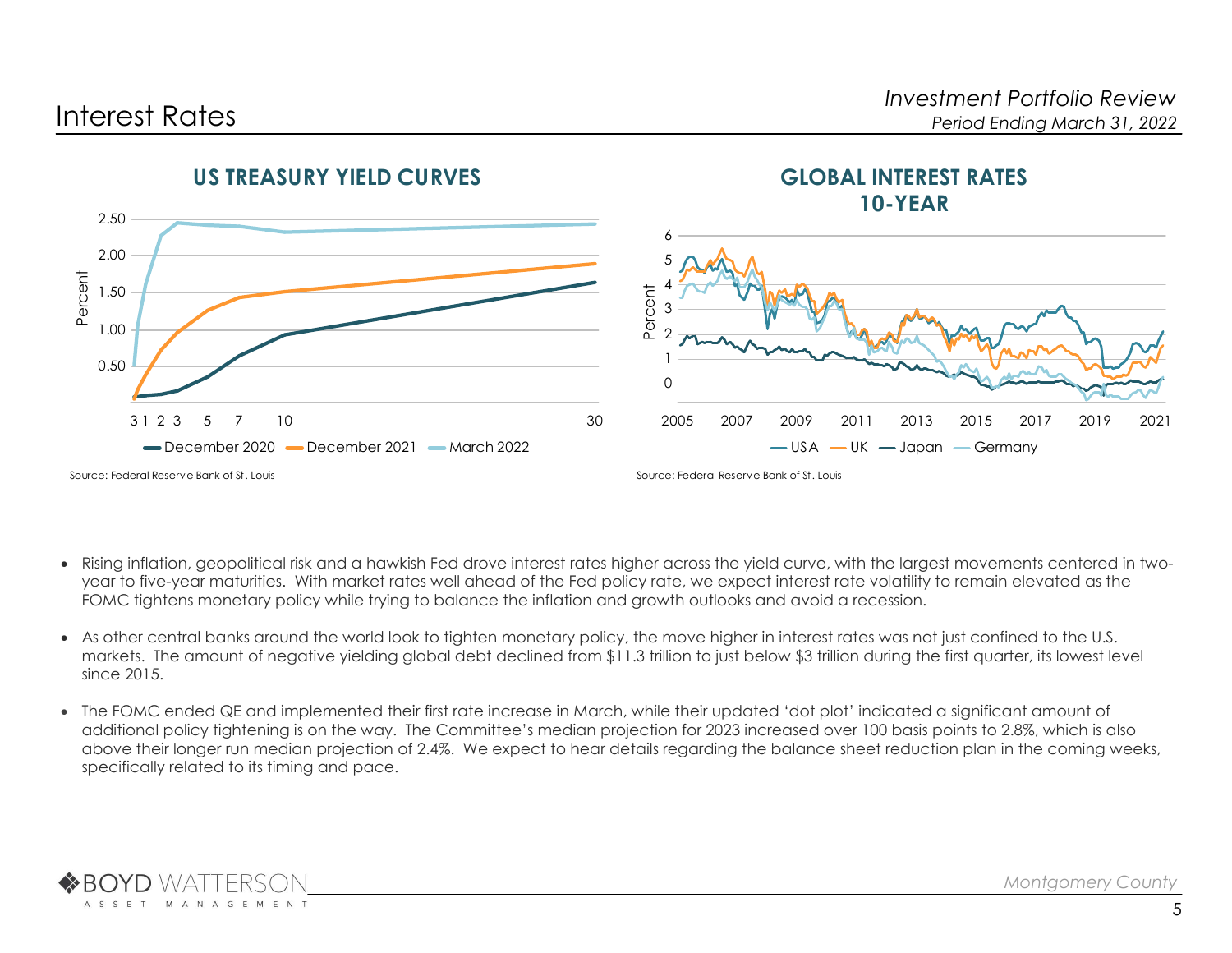

- Rising inflation, geopolitical risk and a hawkish Fed drove interest rates higher across the yield curve, with the largest movements centered in twoyear to five-year maturities. With market rates well ahead of the Fed policy rate, we expect interest rate volatility to remain elevated as the FOMC tightens monetary policy while trying to balance the inflation and growth outlooks and avoid a recession.
- As other central banks around the world look to tighten monetary policy, the move higher in interest rates was not just confined to the U.S. markets. The amount of negative yielding global debt declined from \$11.3 trillion to just below \$3 trillion during the first quarter, its lowest level since 2015.
- The FOMC ended QE and implemented their first rate increase in March, while their updated 'dot plot' indicated a significant amount of additional policy tightening is on the way. The Committee's median projection for 2023 increased over 100 basis points to 2.8%, which is also above their longer run median projection of 2.4%. We expect to hear details regarding the balance sheet reduction plan in the coming weeks, specifically related to its timing and pace.

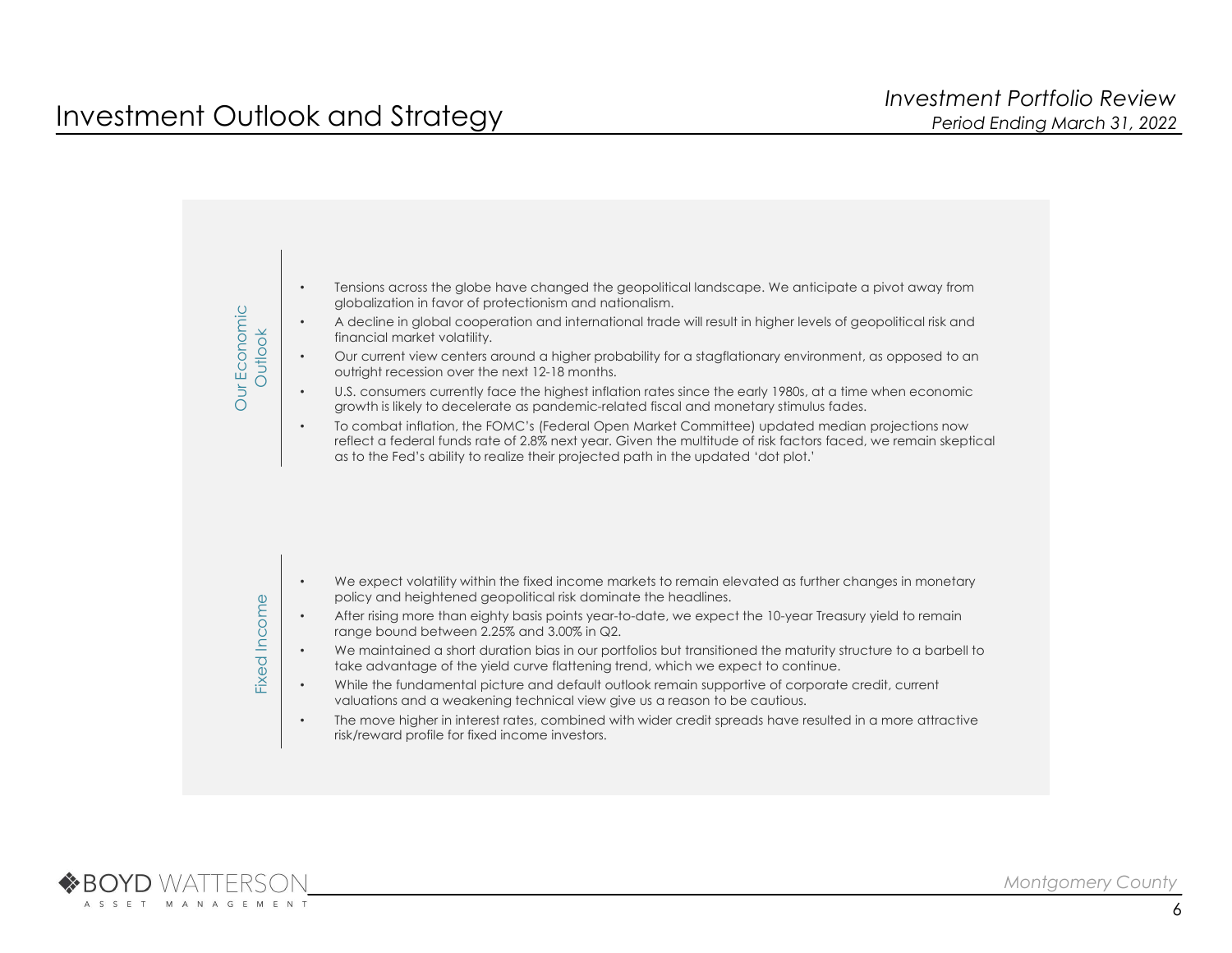

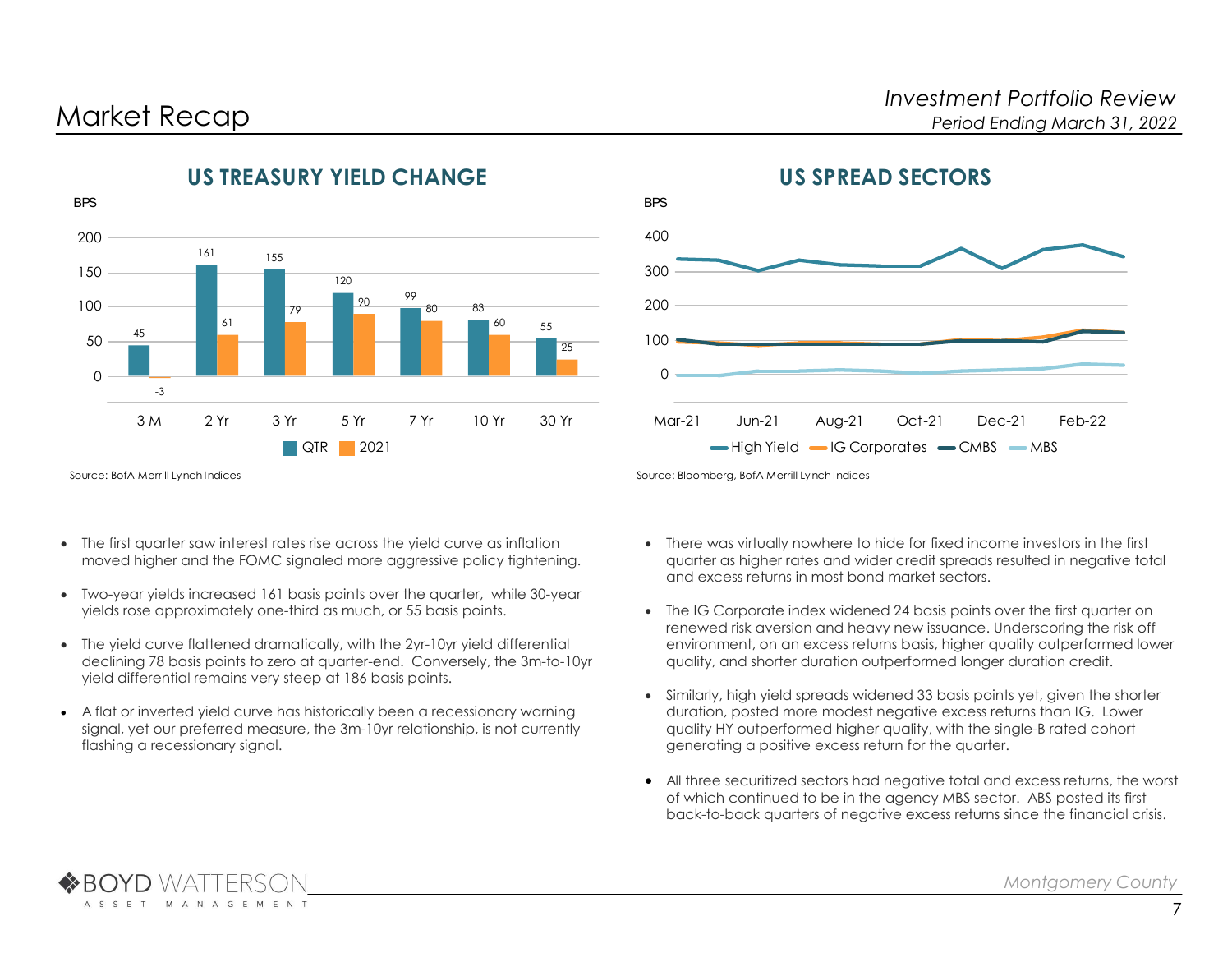

# US TREASURY YIELD CHANGE



# US SPREAD SECTORS

Source: BofA Merrill Lynch Indices

A C C F T

**M** 

- The first quarter saw interest rates rise across the yield curve as inflation moved higher and the FOMC signaled more aggressive policy tightening.
- Two-year yields increased 161 basis points over the quarter, while 30-year yields rose approximately one-third as much, or 55 basis points.
- The yield curve flattened dramatically, with the 2yr-10yr yield differential declining 78 basis points to zero at quarter-end. Conversely, the 3m-to-10yr yield differential remains very steep at 186 basis points.
- A flat or inverted yield curve has historically been a recessionary warning signal, yet our preferred measure, the 3m-10yr relationship, is not currently flashing a recessionary signal.

- There was virtually nowhere to hide for fixed income investors in the first quarter as higher rates and wider credit spreads resulted in negative total and excess returns in most bond market sectors.
- The IG Corporate index widened 24 basis points over the first quarter on renewed risk aversion and heavy new issuance. Underscoring the risk off environment, on an excess returns basis, higher quality outperformed lower quality, and shorter duration outperformed longer duration credit.
- Similarly, high yield spreads widened 33 basis points yet, given the shorter duration, posted more modest negative excess returns than IG. Lower quality HY outperformed higher quality, with the single-B rated cohort generating a positive excess return for the quarter.
- All three securitized sectors had negative total and excess returns, the worst of which continued to be in the agency MBS sector. ABS posted its first back-to-back quarters of negative excess returns since the financial crisis.

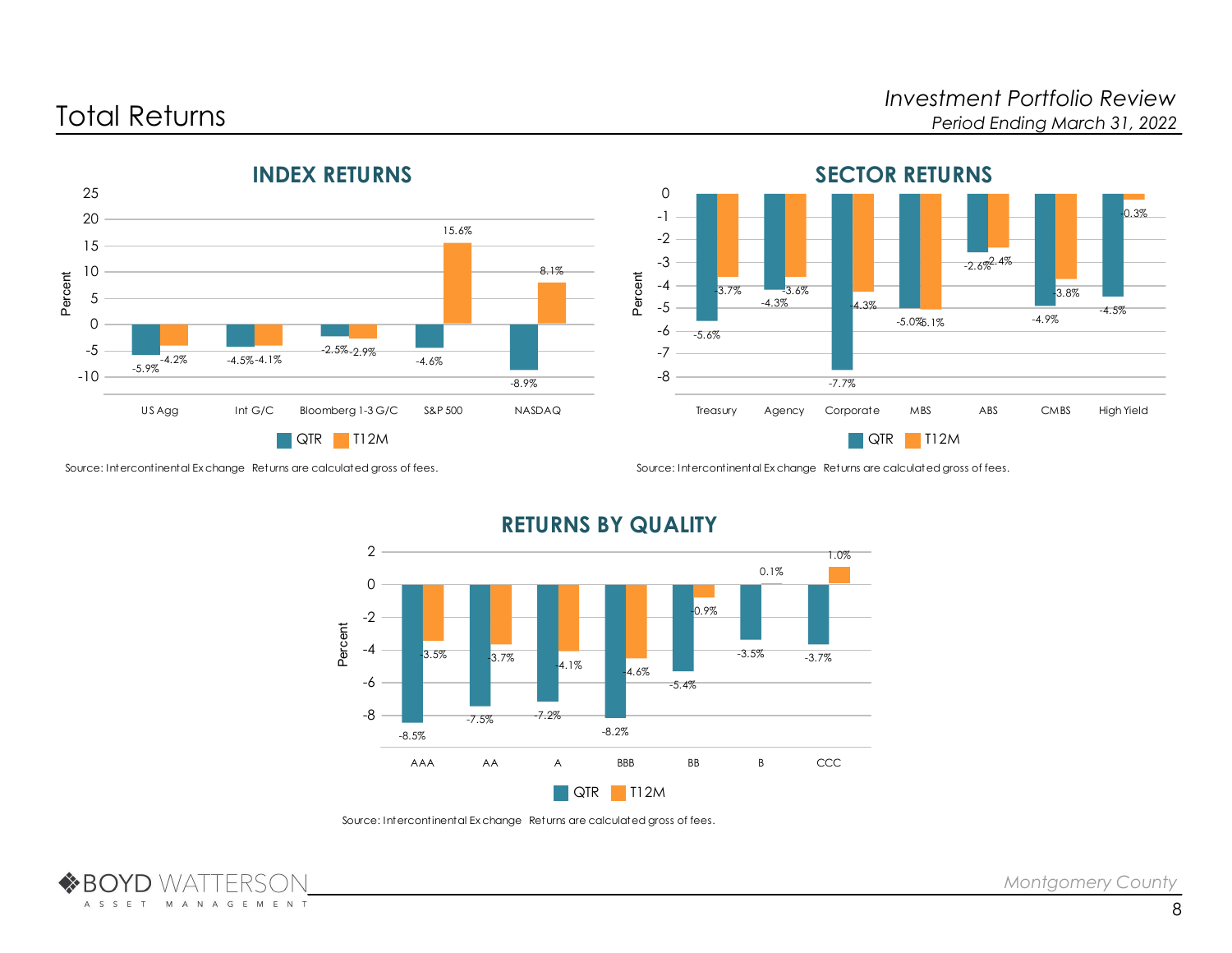## Investment Portfolio Review<br>Investment Portfolio Review<br>Period Ending March 31, 2022 Period Ending March 31, 2022







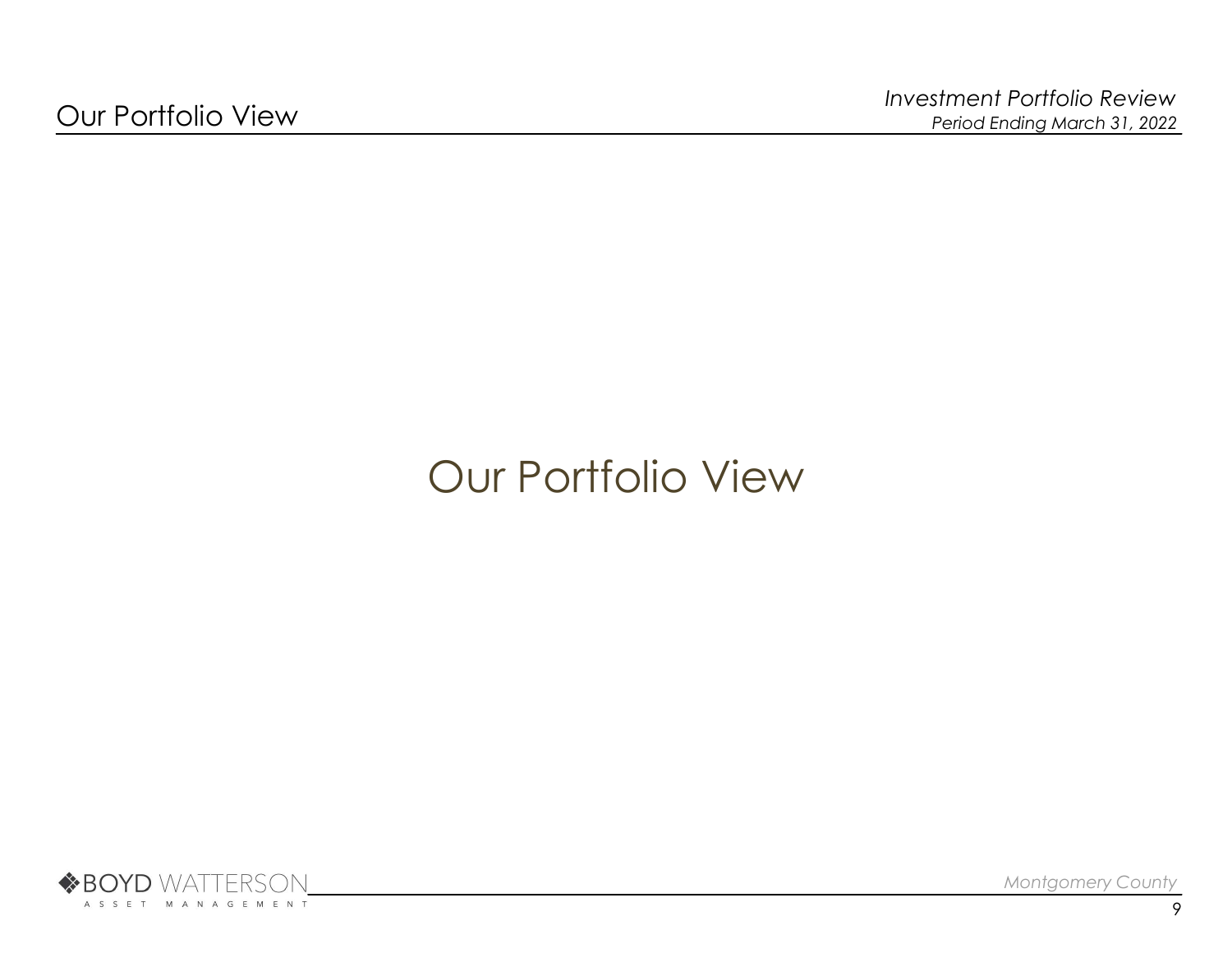# Our Portfolio View

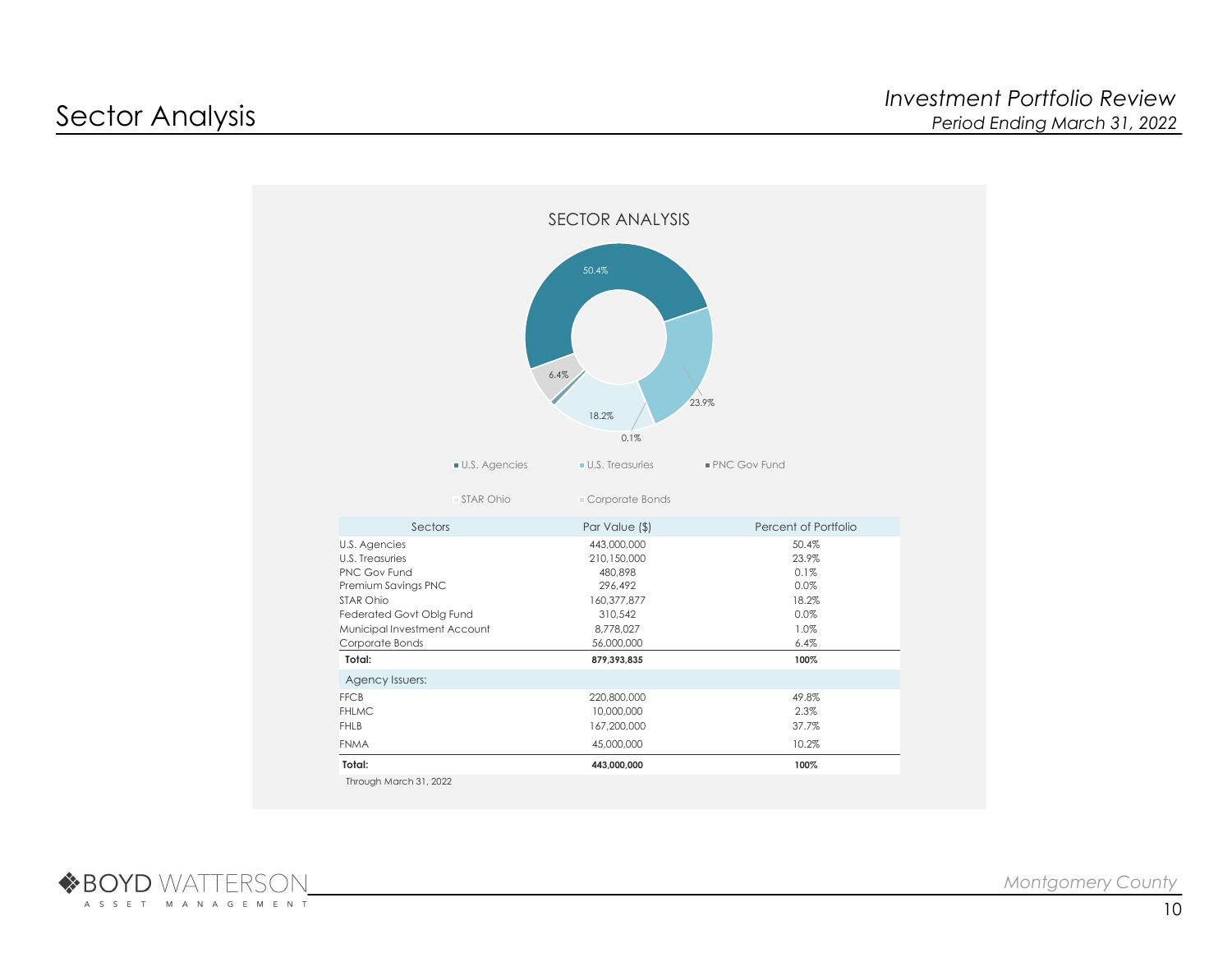

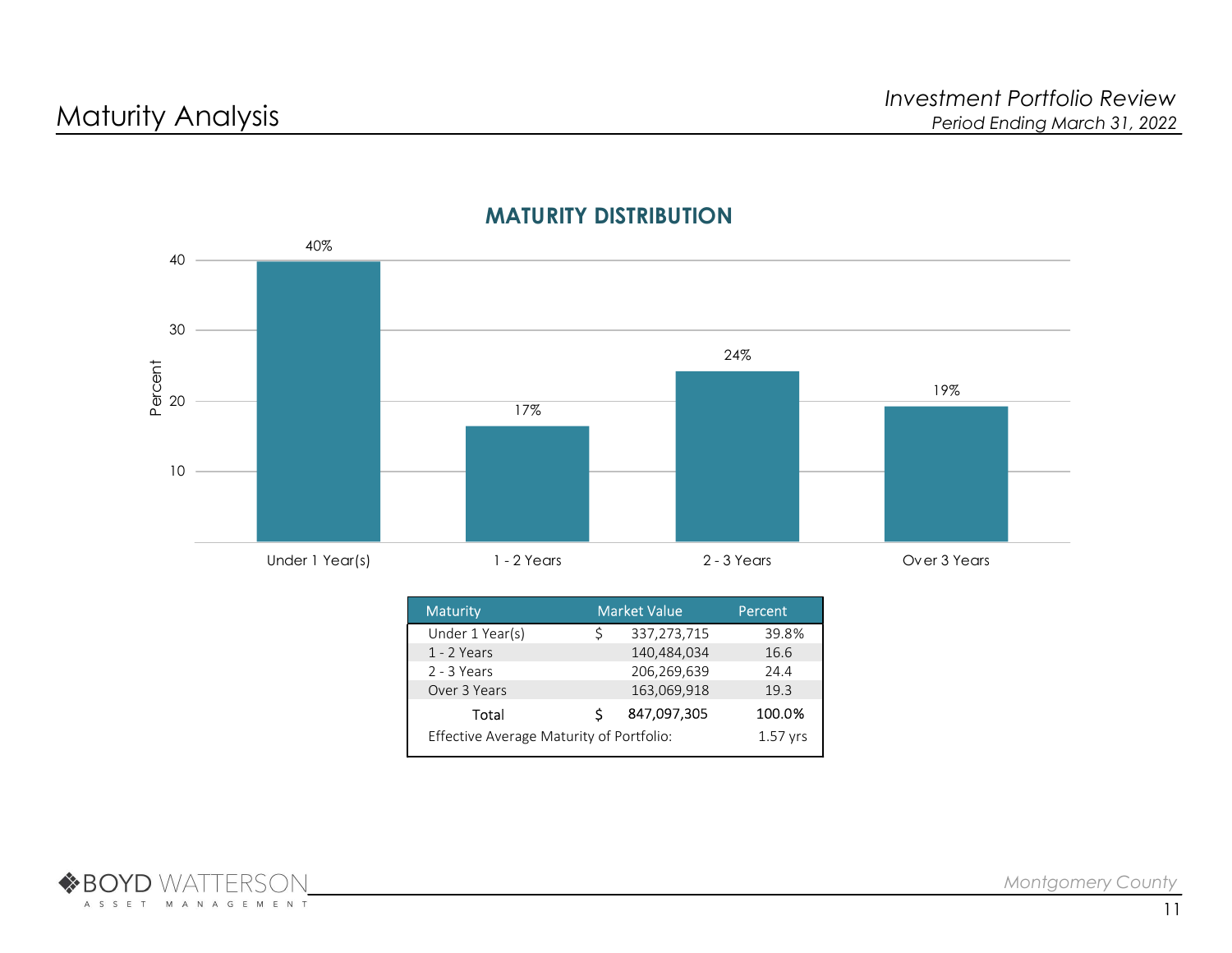

## MATURITY DISTRIBUTION

| <b>Maturity</b>                          |   | <b>Market Value</b> | Percent    |
|------------------------------------------|---|---------------------|------------|
| Under 1 Year(s)                          | Ś | 337,273,715         | 39.8%      |
| 1 - 2 Years                              |   | 140,484,034         | 16.6       |
| 2 - 3 Years                              |   | 206,269,639         | 24.4       |
| Over 3 Years                             |   | 163,069,918         | 19.3       |
| Total                                    | S | 847,097,305         | 100.0%     |
| Effective Average Maturity of Portfolio: |   |                     | $1.57$ yrs |

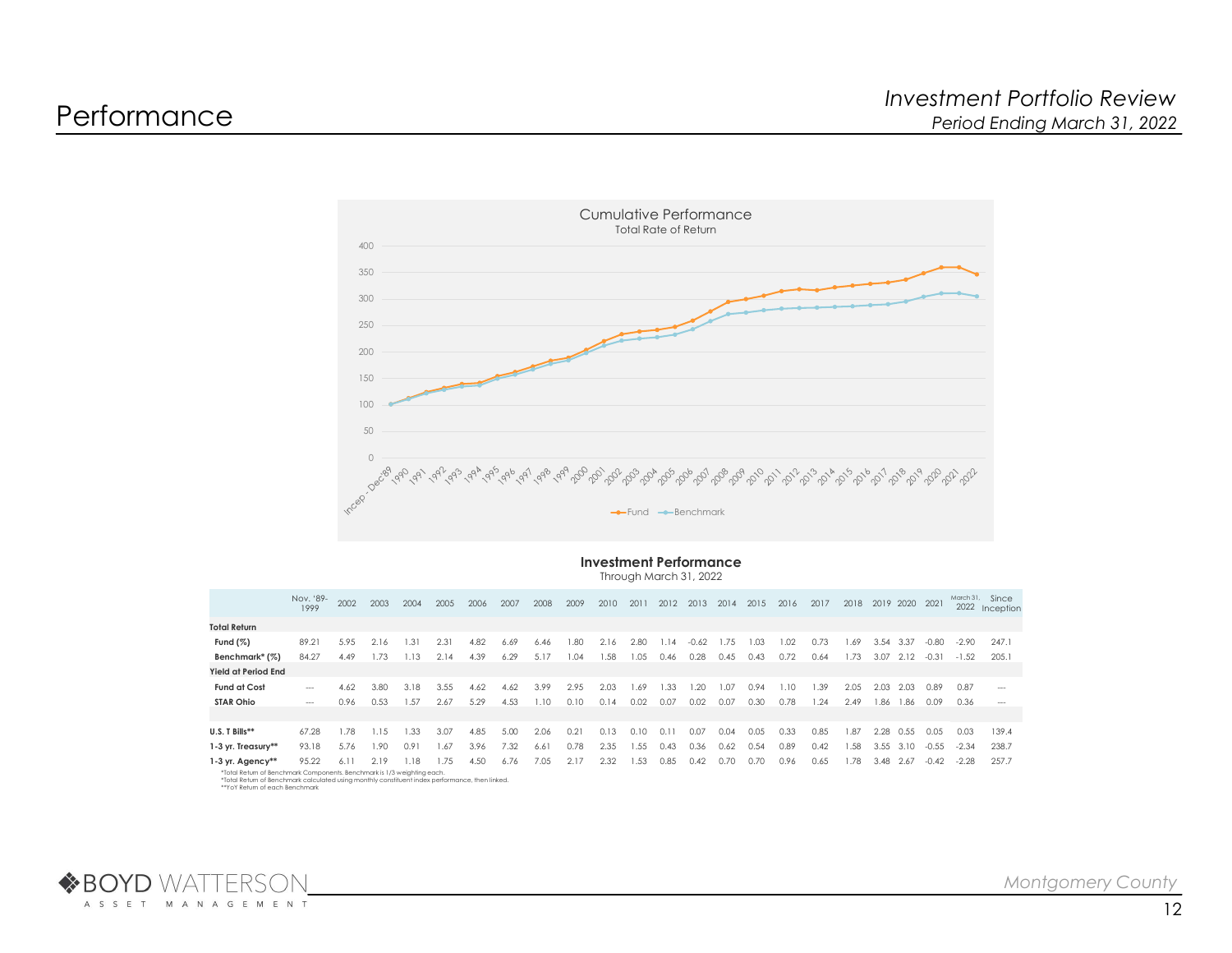

### Investment Performance

Through March 31, 2022

|                                                                         | Nov. '89- | 2002 |      |      |       |       |      |      | 2003 2004 2005 2006 2007 2008 2009 2010 2011 2012 2013 2014 2015 2016 2017 2018 2019 2020 2021 |      |      |             |         |      |       |      |      |                      |           |                |       |               | March 31, Since<br>2022 Inception |
|-------------------------------------------------------------------------|-----------|------|------|------|-------|-------|------|------|------------------------------------------------------------------------------------------------|------|------|-------------|---------|------|-------|------|------|----------------------|-----------|----------------|-------|---------------|-----------------------------------|
| <b>Total Return</b>                                                     |           |      |      |      |       |       |      |      |                                                                                                |      |      |             |         |      |       |      |      |                      |           |                |       |               |                                   |
| Fund $(\%)$                                                             | 89.21     | 5.95 | 2.16 | 1.31 | -2.31 | 4.82  | 6.69 | 6.46 | 1.80                                                                                           | 2.16 | 2.80 | 1.14        | $-0.62$ | 1.75 | 1.03. | 1.02 | 0.73 | 1.69                 | 3.54 3.37 |                | -0.80 |               | -2.90 247.1                       |
| Benchmark* (%)                                                          | 84.27     | 4.49 | 1.73 | 1.13 | 2.14  | 4.39  | 6.29 | 5.17 | 1.04                                                                                           | 1.58 | 1.05 | $0.46$ 0.28 |         | 0.45 | 0.43  | 0.72 | 0.64 | 1.73 3.07 2.12 -0.31 |           |                |       | $-1.52$ 205.1 |                                   |
| Yield at Period End                                                     |           |      |      |      |       |       |      |      |                                                                                                |      |      |             |         |      |       |      |      |                      |           |                |       |               |                                   |
| <b>Fund at Cost</b>                                                     | $\sim$    | 4.62 | 3.80 | 3.18 | 3.55  | 4.62  | 4.62 | 3.99 | 2.95                                                                                           | 2.03 | 1.69 | 1.33        | 1.20    | 1.07 | 0.94  | 1.10 | .39  | 2.05                 | 2.03      | -2.03          | 0.89  | 0.87          | $\sim$ $\sim$ $\sim$              |
| <b>STAR Ohio</b>                                                        | $\sim$    | 0.96 | 0.53 | 1.57 | 2.67  | 5.29  | 4.53 | 1.10 | 0.10                                                                                           | 0.14 | 0.02 | 0.07        | 0.02    | 0.07 | 0.30  | 0.78 | 1.24 | 2.49                 |           | 1.86 1.86 0.09 |       | 0.36          | $---$                             |
|                                                                         |           |      |      |      |       |       |      |      |                                                                                                |      |      |             |         |      |       |      |      |                      |           |                |       |               |                                   |
| U.S. T Bills**                                                          | 67.28     | 1.78 | 1.15 | 1.33 | -3.07 | 4.85  | 5.00 | 2.06 | 0.21                                                                                           | 0.13 | 0.10 | 0.11        | 0.07    | 0.04 | 0.05  | 0.33 | 0.85 | 1.87                 |           | 2.28 0.55      | 0.05  | 0.03          | 139.4                             |
| 1-3 yr. Treasury**                                                      | 93.18     | 5.76 | 1.90 | 0.91 | 1.67  | -3.96 | 7.32 | 6.61 | 0.78                                                                                           | 2.35 | 1.55 | 0.43        | 0.36    | 0.62 | 0.54  | 0.89 | 0.42 | 1.58                 |           | 3.55 3.10      | -0.55 | -2.34         | 238.7                             |
| 1-3 yr. Agency**                                                        | 95.22     | 6.11 | 2.19 | 1.18 | 1.75  | 4.50  | 6.76 | 7.05 | 2.17 2.32 1.53 0.85 0.42 0.70                                                                  |      |      |             |         |      | 0.70  | 0.96 | 0.65 | 1.78                 |           |                |       |               | 3.48 2.67 -0.42 -2.28 257.7       |
| *Total Return of Benchmark Components. Benchmark is 1/3 weighting each. |           |      |      |      |       |       |      |      |                                                                                                |      |      |             |         |      |       |      |      |                      |           |                |       |               |                                   |

\*Total Return of Benchmark Components. Benchmark is 1/3 weighting each.<br>\*Total Return of Benchmark calculated using monthly constituent index performance, then linked.<br>\*\*YoY Return of each Benchmark

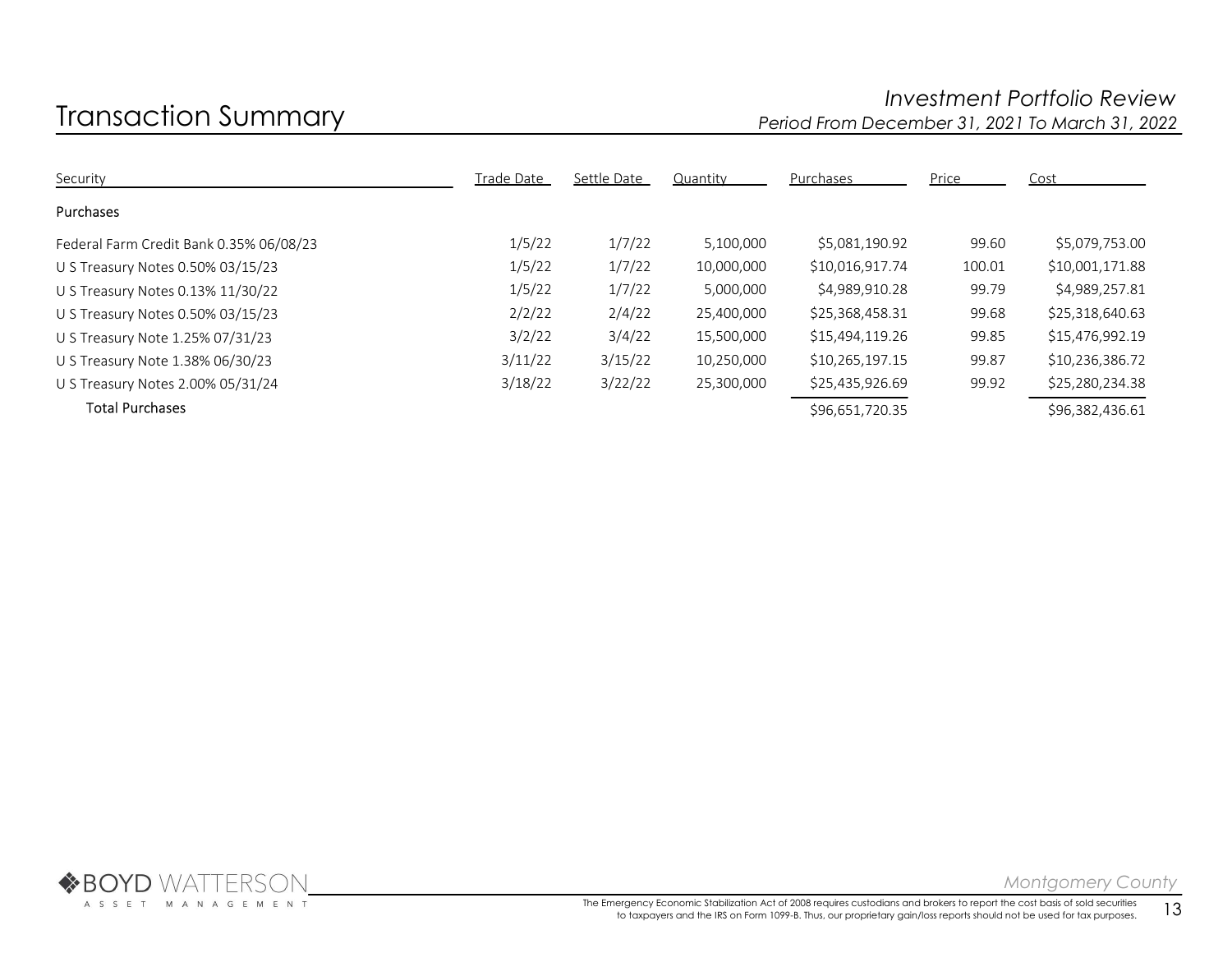## Investment Portfolio Review<br>Investment Portfolio Review Period From December 31, 2021 To March 31, 2022 Period From December 31, 2021 To March 31, 2022

| Security                                | <b>Trade Date</b> | Settle Date | Quantity   | Purchases       | Price  | Cost            |
|-----------------------------------------|-------------------|-------------|------------|-----------------|--------|-----------------|
| <b>Purchases</b>                        |                   |             |            |                 |        |                 |
| Federal Farm Credit Bank 0.35% 06/08/23 | 1/5/22            | 1/7/22      | 5,100,000  | \$5,081,190.92  | 99.60  | \$5,079,753.00  |
| U S Treasury Notes 0.50% 03/15/23       | 1/5/22            | 1/7/22      | 10,000,000 | \$10,016,917.74 | 100.01 | \$10,001,171.88 |
| U S Treasury Notes 0.13% 11/30/22       | 1/5/22            | 1/7/22      | 5,000,000  | \$4,989,910.28  | 99.79  | \$4,989,257.81  |
| U S Treasury Notes 0.50% 03/15/23       | 2/2/22            | 2/4/22      | 25,400,000 | \$25,368,458.31 | 99.68  | \$25,318,640.63 |
| U S Treasury Note 1.25% 07/31/23        | 3/2/22            | 3/4/22      | 15,500,000 | \$15,494,119.26 | 99.85  | \$15,476,992.19 |
| U S Treasury Note 1.38% 06/30/23        | 3/11/22           | 3/15/22     | 10,250,000 | \$10,265,197.15 | 99.87  | \$10,236,386.72 |
| U S Treasury Notes 2.00% 05/31/24       | 3/18/22           | 3/22/22     | 25,300,000 | \$25,435,926.69 | 99.92  | \$25,280,234.38 |
| <b>Total Purchases</b>                  |                   |             |            | \$96,651,720.35 |        | \$96,382,436.61 |

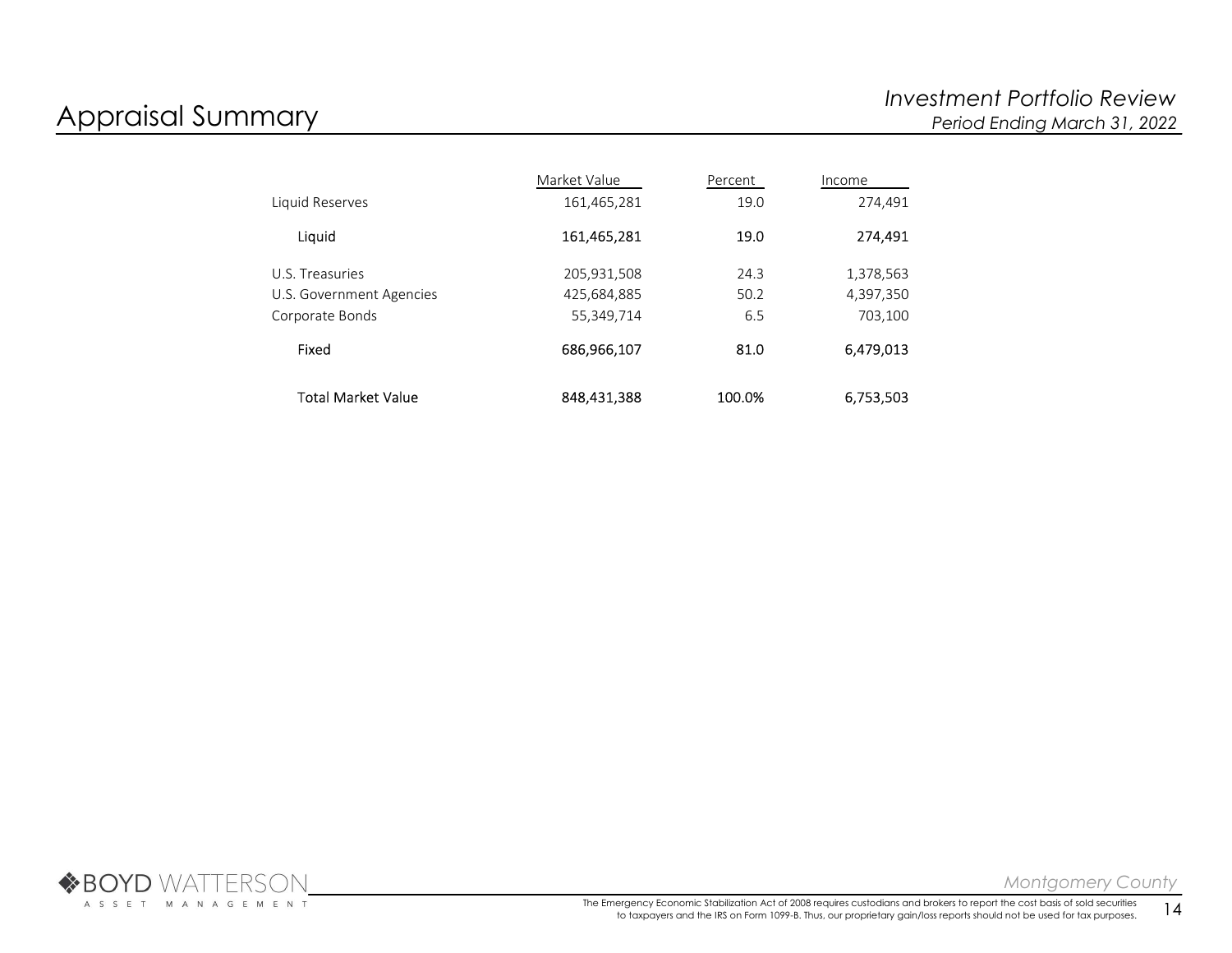|                          | Market Value | Percent | Income    |
|--------------------------|--------------|---------|-----------|
| Liquid Reserves          | 161,465,281  | 19.0    | 274.491   |
| Liquid                   | 161,465,281  | 19.0    | 274,491   |
| U.S. Treasuries          | 205,931,508  | 24.3    | 1,378,563 |
| U.S. Government Agencies | 425,684,885  | 50.2    | 4,397,350 |
| Corporate Bonds          | 55,349,714   | 6.5     | 703,100   |
| Fixed                    | 686,966,107  | 81.0    | 6,479,013 |
| Total Market Value       | 848.431.388  | 100.0%  | 6,753,503 |

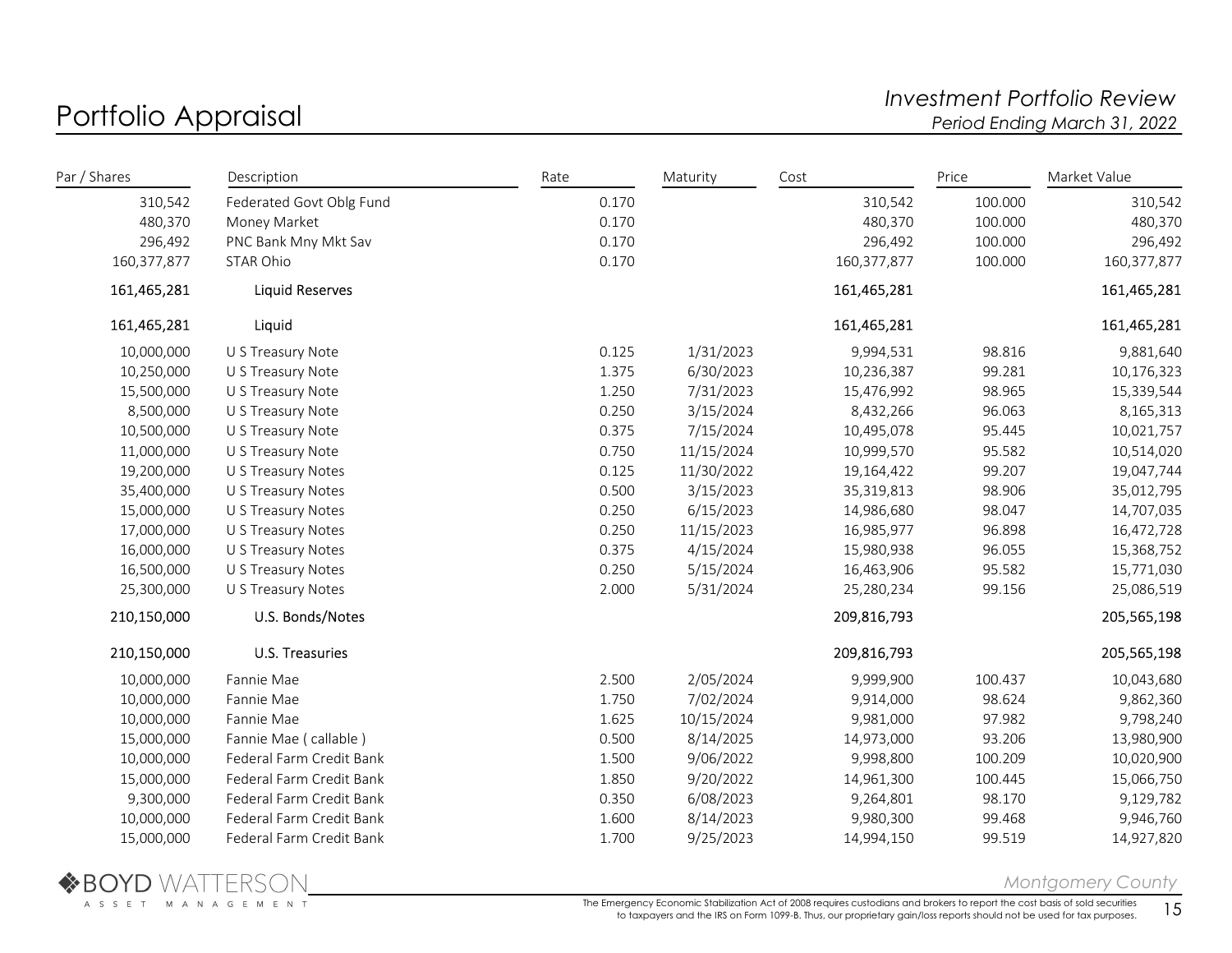## Portfolio Appraisal Investment Portfolio Review<br>Portfolio Appraisal Investment Portfolio Review Period Ending March 31, 2022

| Par / Shares | Description              | Rate  | Maturity   | Cost        | Price   | Market Value |
|--------------|--------------------------|-------|------------|-------------|---------|--------------|
| 310,542      | Federated Govt Oblg Fund | 0.170 |            | 310,542     | 100.000 | 310,542      |
| 480,370      | Money Market             | 0.170 |            | 480,370     | 100.000 | 480,370      |
| 296,492      | PNC Bank Mny Mkt Sav     | 0.170 |            | 296,492     | 100.000 | 296,492      |
| 160,377,877  | STAR Ohio                | 0.170 |            | 160,377,877 | 100.000 | 160,377,877  |
| 161,465,281  | <b>Liquid Reserves</b>   |       |            | 161,465,281 |         | 161,465,281  |
| 161,465,281  | Liquid                   |       |            | 161,465,281 |         | 161,465,281  |
| 10,000,000   | U S Treasury Note        | 0.125 | 1/31/2023  | 9,994,531   | 98.816  | 9,881,640    |
| 10,250,000   | U S Treasury Note        | 1.375 | 6/30/2023  | 10,236,387  | 99.281  | 10,176,323   |
| 15,500,000   | U S Treasury Note        | 1.250 | 7/31/2023  | 15,476,992  | 98.965  | 15,339,544   |
| 8,500,000    | U S Treasury Note        | 0.250 | 3/15/2024  | 8,432,266   | 96.063  | 8,165,313    |
| 10,500,000   | U S Treasury Note        | 0.375 | 7/15/2024  | 10,495,078  | 95.445  | 10,021,757   |
| 11,000,000   | U S Treasury Note        | 0.750 | 11/15/2024 | 10,999,570  | 95.582  | 10,514,020   |
| 19,200,000   | U S Treasury Notes       | 0.125 | 11/30/2022 | 19,164,422  | 99.207  | 19,047,744   |
| 35,400,000   | U S Treasury Notes       | 0.500 | 3/15/2023  | 35,319,813  | 98.906  | 35,012,795   |
| 15,000,000   | U S Treasury Notes       | 0.250 | 6/15/2023  | 14,986,680  | 98.047  | 14,707,035   |
| 17,000,000   | U S Treasury Notes       | 0.250 | 11/15/2023 | 16,985,977  | 96.898  | 16,472,728   |
| 16,000,000   | U S Treasury Notes       | 0.375 | 4/15/2024  | 15,980,938  | 96.055  | 15,368,752   |
| 16,500,000   | U S Treasury Notes       | 0.250 | 5/15/2024  | 16,463,906  | 95.582  | 15,771,030   |
| 25,300,000   | U S Treasury Notes       | 2.000 | 5/31/2024  | 25,280,234  | 99.156  | 25,086,519   |
| 210,150,000  | U.S. Bonds/Notes         |       |            | 209,816,793 |         | 205,565,198  |
| 210,150,000  | <b>U.S. Treasuries</b>   |       |            | 209,816,793 |         | 205,565,198  |
| 10,000,000   | Fannie Mae               | 2.500 | 2/05/2024  | 9,999,900   | 100.437 | 10,043,680   |
| 10,000,000   | Fannie Mae               | 1.750 | 7/02/2024  | 9,914,000   | 98.624  | 9,862,360    |
| 10,000,000   | Fannie Mae               | 1.625 | 10/15/2024 | 9,981,000   | 97.982  | 9,798,240    |
| 15,000,000   | Fannie Mae (callable)    | 0.500 | 8/14/2025  | 14,973,000  | 93.206  | 13,980,900   |
| 10,000,000   | Federal Farm Credit Bank | 1.500 | 9/06/2022  | 9,998,800   | 100.209 | 10,020,900   |
| 15,000,000   | Federal Farm Credit Bank | 1.850 | 9/20/2022  | 14,961,300  | 100.445 | 15,066,750   |
| 9,300,000    | Federal Farm Credit Bank | 0.350 | 6/08/2023  | 9,264,801   | 98.170  | 9,129,782    |
| 10,000,000   | Federal Farm Credit Bank | 1.600 | 8/14/2023  | 9,980,300   | 99.468  | 9,946,760    |
| 15,000,000   | Federal Farm Credit Bank | 1.700 | 9/25/2023  | 14,994,150  | 99.519  | 14,927,820   |



Montgomery County

The Emergency Economic Stabilization Act of 2008 requires custodians and brokers to report the cost basis of sold securities ergency Economic Stabilization Act of 2008 requires custodians and brokers to report the cost basis of sold securities  $15$ <br>to taxpayers and the IRS on Form 1099-B. Thus, our proprietary gain/loss reports should not be us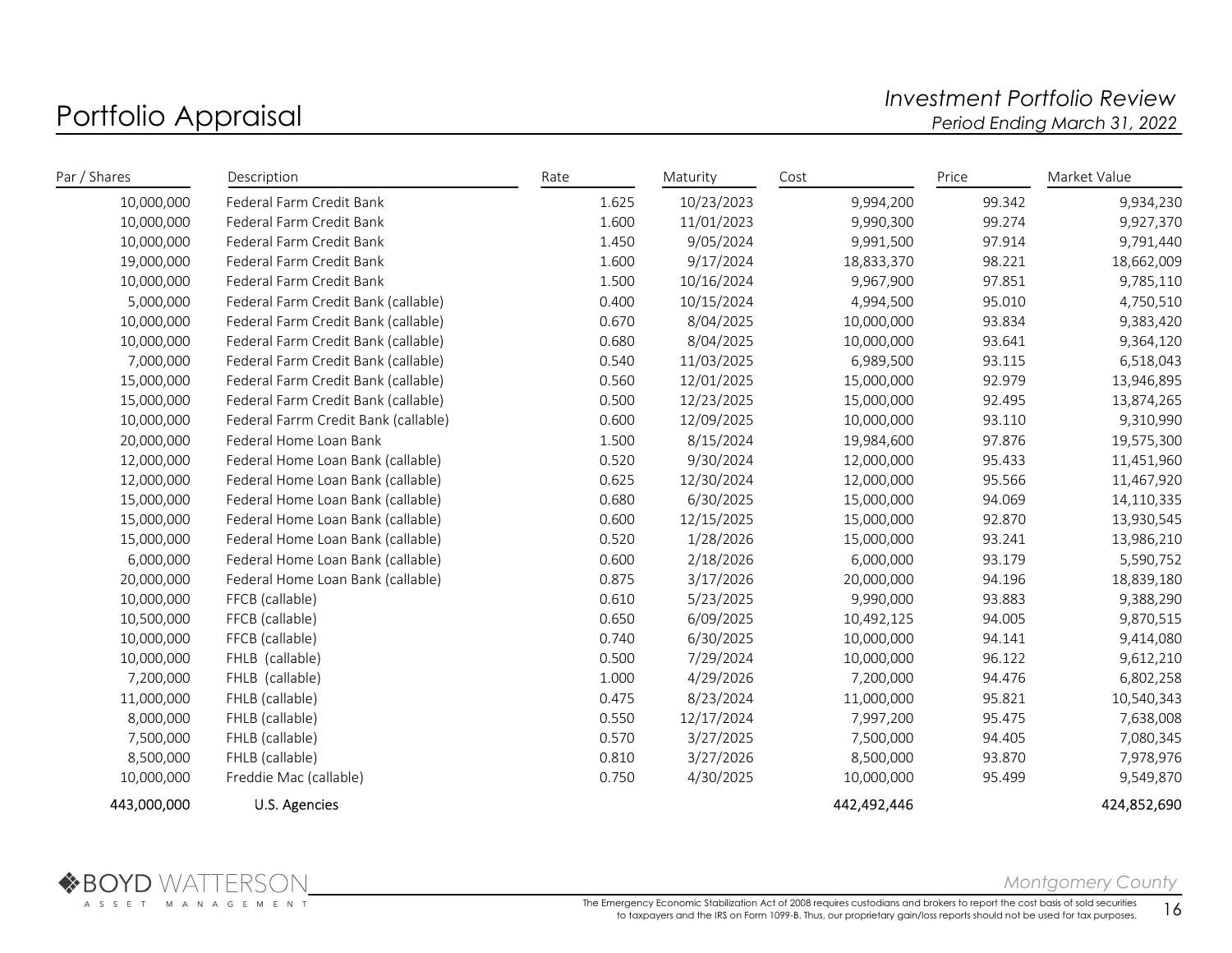## Portfolio Appraisal and the controlio and the controlio Review and the Portfolio Review and the Portfolio Review<br>Period Ending March 31, 2022 Period Ending March 31, 2022

| Par / Shares | Description                          | Rate  | Maturity   | Cost        | Price  | Market Value |
|--------------|--------------------------------------|-------|------------|-------------|--------|--------------|
| 10,000,000   | Federal Farm Credit Bank             | 1.625 | 10/23/2023 | 9,994,200   | 99.342 | 9,934,230    |
| 10,000,000   | Federal Farm Credit Bank             | 1.600 | 11/01/2023 | 9,990,300   | 99.274 | 9,927,370    |
| 10,000,000   | Federal Farm Credit Bank             | 1.450 | 9/05/2024  | 9,991,500   | 97.914 | 9,791,440    |
| 19,000,000   | Federal Farm Credit Bank             | 1.600 | 9/17/2024  | 18,833,370  | 98.221 | 18,662,009   |
| 10,000,000   | Federal Farm Credit Bank             | 1.500 | 10/16/2024 | 9,967,900   | 97.851 | 9,785,110    |
| 5,000,000    | Federal Farm Credit Bank (callable)  | 0.400 | 10/15/2024 | 4,994,500   | 95.010 | 4,750,510    |
| 10,000,000   | Federal Farm Credit Bank (callable)  | 0.670 | 8/04/2025  | 10,000,000  | 93.834 | 9,383,420    |
| 10,000,000   | Federal Farm Credit Bank (callable)  | 0.680 | 8/04/2025  | 10,000,000  | 93.641 | 9,364,120    |
| 7,000,000    | Federal Farm Credit Bank (callable)  | 0.540 | 11/03/2025 | 6,989,500   | 93.115 | 6,518,043    |
| 15,000,000   | Federal Farm Credit Bank (callable)  | 0.560 | 12/01/2025 | 15,000,000  | 92.979 | 13,946,895   |
| 15,000,000   | Federal Farm Credit Bank (callable)  | 0.500 | 12/23/2025 | 15,000,000  | 92.495 | 13,874,265   |
| 10,000,000   | Federal Farrm Credit Bank (callable) | 0.600 | 12/09/2025 | 10,000,000  | 93.110 | 9,310,990    |
| 20,000,000   | Federal Home Loan Bank               | 1.500 | 8/15/2024  | 19,984,600  | 97.876 | 19,575,300   |
| 12,000,000   | Federal Home Loan Bank (callable)    | 0.520 | 9/30/2024  | 12,000,000  | 95.433 | 11,451,960   |
| 12,000,000   | Federal Home Loan Bank (callable)    | 0.625 | 12/30/2024 | 12,000,000  | 95.566 | 11,467,920   |
| 15,000,000   | Federal Home Loan Bank (callable)    | 0.680 | 6/30/2025  | 15,000,000  | 94.069 | 14,110,335   |
| 15,000,000   | Federal Home Loan Bank (callable)    | 0.600 | 12/15/2025 | 15,000,000  | 92.870 | 13,930,545   |
| 15,000,000   | Federal Home Loan Bank (callable)    | 0.520 | 1/28/2026  | 15,000,000  | 93.241 | 13,986,210   |
| 6,000,000    | Federal Home Loan Bank (callable)    | 0.600 | 2/18/2026  | 6,000,000   | 93.179 | 5,590,752    |
| 20,000,000   | Federal Home Loan Bank (callable)    | 0.875 | 3/17/2026  | 20,000,000  | 94.196 | 18,839,180   |
| 10,000,000   | FFCB (callable)                      | 0.610 | 5/23/2025  | 9,990,000   | 93.883 | 9,388,290    |
| 10,500,000   | FFCB (callable)                      | 0.650 | 6/09/2025  | 10,492,125  | 94.005 | 9,870,515    |
| 10,000,000   | FFCB (callable)                      | 0.740 | 6/30/2025  | 10,000,000  | 94.141 | 9,414,080    |
| 10,000,000   | FHLB (callable)                      | 0.500 | 7/29/2024  | 10,000,000  | 96.122 | 9,612,210    |
| 7,200,000    | FHLB (callable)                      | 1.000 | 4/29/2026  | 7,200,000   | 94.476 | 6,802,258    |
| 11,000,000   | FHLB (callable)                      | 0.475 | 8/23/2024  | 11,000,000  | 95.821 | 10,540,343   |
| 8,000,000    | FHLB (callable)                      | 0.550 | 12/17/2024 | 7,997,200   | 95.475 | 7,638,008    |
| 7,500,000    | FHLB (callable)                      | 0.570 | 3/27/2025  | 7,500,000   | 94.405 | 7,080,345    |
| 8,500,000    | FHLB (callable)                      | 0.810 | 3/27/2026  | 8,500,000   | 93.870 | 7,978,976    |
| 10,000,000   | Freddie Mac (callable)               | 0.750 | 4/30/2025  | 10,000,000  | 95.499 | 9,549,870    |
| 443,000,000  | U.S. Agencies                        |       |            | 442,492,446 |        | 424,852,690  |



Montgomery County

The Emergency Economic Stabilization Act of 2008 requires custodians and brokers to report the cost basis of sold securities to taxpayers and the IRS on Form 1099-B. Thus, our proprietary gain/loss reports should not be used for tax purposes.  $16$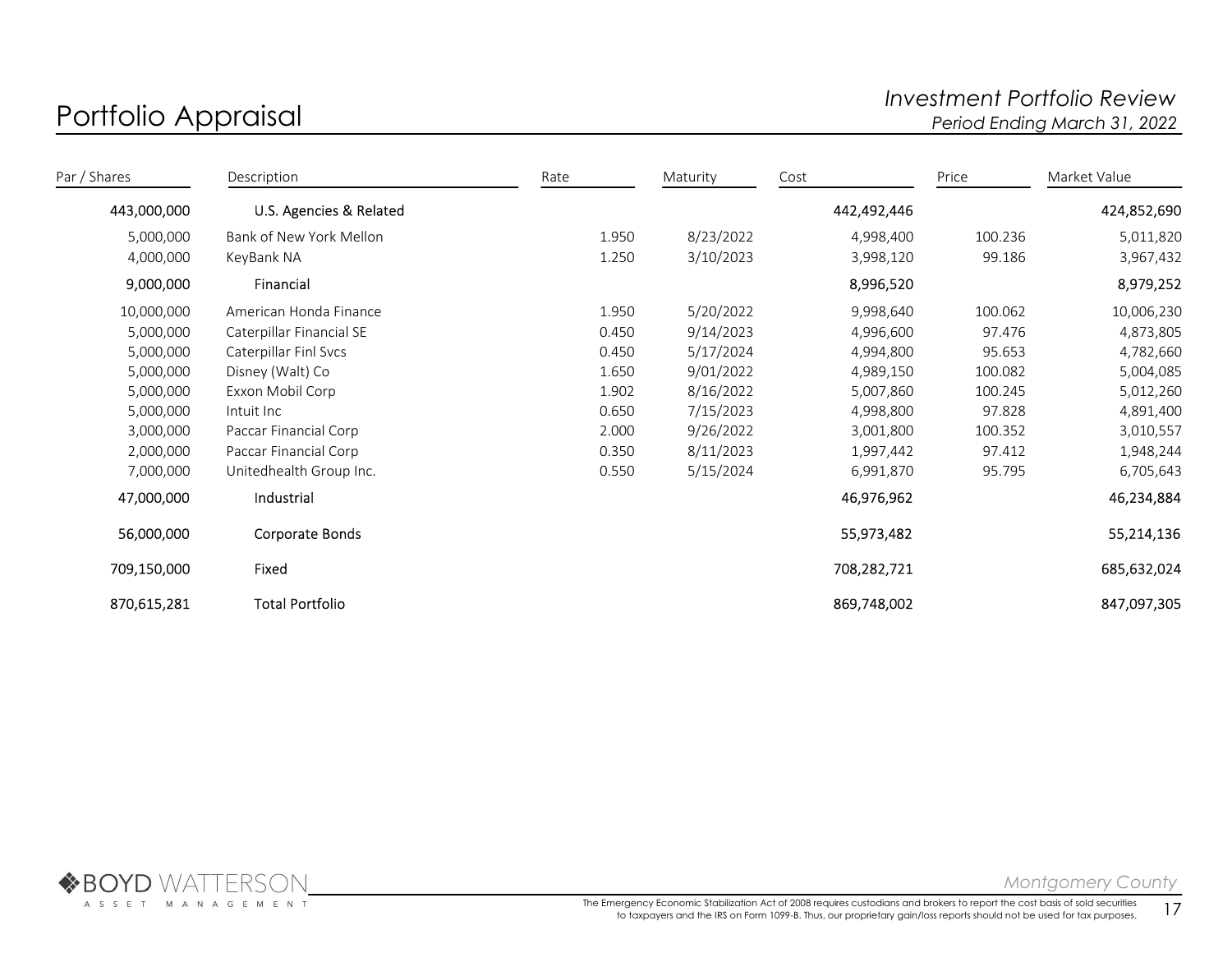## Portfolio Appraisal and the controlio and the controlio Review and the Portfolio Review and the Portfolio Review<br>Period Ending March 31, 2022 Period Ending March 31, 2022

| Par / Shares | Description              | Rate  | Maturity  | Cost        | Price   | Market Value |
|--------------|--------------------------|-------|-----------|-------------|---------|--------------|
| 443,000,000  | U.S. Agencies & Related  |       |           | 442,492,446 |         | 424,852,690  |
| 5,000,000    | Bank of New York Mellon  | 1.950 | 8/23/2022 | 4,998,400   | 100.236 | 5,011,820    |
| 4,000,000    | KeyBank NA               | 1.250 | 3/10/2023 | 3,998,120   | 99.186  | 3,967,432    |
| 9,000,000    | Financial                |       |           | 8,996,520   |         | 8,979,252    |
| 10,000,000   | American Honda Finance   | 1.950 | 5/20/2022 | 9,998,640   | 100.062 | 10,006,230   |
| 5,000,000    | Caterpillar Financial SE | 0.450 | 9/14/2023 | 4,996,600   | 97.476  | 4,873,805    |
| 5,000,000    | Caterpillar Finl Svcs    | 0.450 | 5/17/2024 | 4,994,800   | 95.653  | 4,782,660    |
| 5,000,000    | Disney (Walt) Co         | 1.650 | 9/01/2022 | 4,989,150   | 100.082 | 5,004,085    |
| 5,000,000    | Exxon Mobil Corp         | 1.902 | 8/16/2022 | 5,007,860   | 100.245 | 5,012,260    |
| 5,000,000    | Intuit Inc               | 0.650 | 7/15/2023 | 4,998,800   | 97.828  | 4,891,400    |
| 3,000,000    | Paccar Financial Corp    | 2.000 | 9/26/2022 | 3,001,800   | 100.352 | 3,010,557    |
| 2,000,000    | Paccar Financial Corp    | 0.350 | 8/11/2023 | 1,997,442   | 97.412  | 1,948,244    |
| 7,000,000    | Unitedhealth Group Inc.  | 0.550 | 5/15/2024 | 6,991,870   | 95.795  | 6,705,643    |
| 47,000,000   | Industrial               |       |           | 46,976,962  |         | 46,234,884   |
| 56,000,000   | Corporate Bonds          |       |           | 55,973,482  |         | 55,214,136   |
| 709,150,000  | Fixed                    |       |           | 708,282,721 |         | 685,632,024  |
| 870,615,281  | <b>Total Portfolio</b>   |       |           | 869,748,002 |         | 847,097,305  |